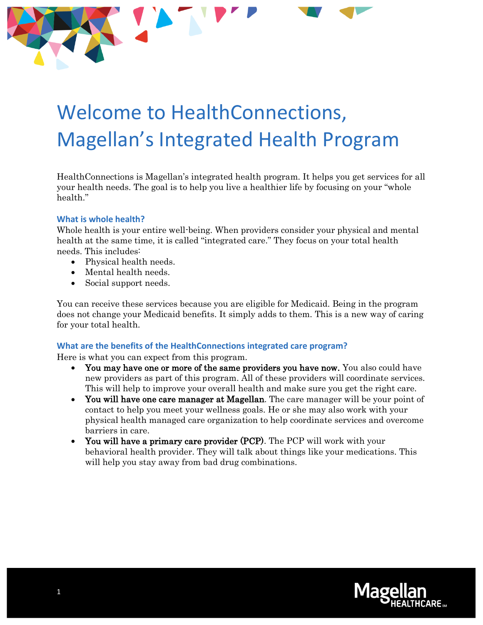# Welcome to HealthConnections, Magellan's Integrated Health Program

HealthConnections is Magellan's integrated health program. It helps you get services for all your health needs. The goal is to help you live a healthier life by focusing on your "whole health."

#### **What is whole health?**

Whole health is your entire well-being. When providers consider your physical and mental health at the same time, it is called "integrated care." They focus on your total health needs. This includes:

- Physical health needs.
- Mental health needs.
- Social support needs.

You can receive these services because you are eligible for Medicaid. Being in the program does not change your Medicaid benefits. It simply adds to them. This is a new way of caring for your total health.

#### **What are the benefits of the HealthConnections integrated care program?**

Here is what you can expect from this program.

- You may have one or more of the same providers you have now. You also could have new providers as part of this program. All of these providers will coordinate services. This will help to improve your overall health and make sure you get the right care.
- You will have one care manager at Magellan. The care manager will be your point of contact to help you meet your wellness goals. He or she may also work with your physical health managed care organization to help coordinate services and overcome barriers in care.
- You will have a primary care provider (PCP). The PCP will work with your behavioral health provider. They will talk about things like your medications. This will help you stay away from bad drug combinations.